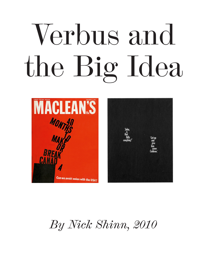## Verbus and the Big Idea



*By Nick Shinn, 2010*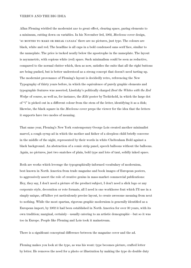## VERBUS AND THE BIG IDEA

Allan Fleming wielded the modernist axe to great effect, clearing space, paring elements to a minimum, cutting down on variables. In his November 3rd, 1962, *Macleans* cover design, '40 MONTHS TO MAKE OR BREAK CANADA' there are no pictures, just type. The colours are black, white and red. The headline is all caps in a bold condensed sans serif face, similar to the nameplate. The price is tucked neatly below the apostrophe in the nameplate. The layout is asymmetric, with copious white (red) space. Such minimalism could be seen as reductive, compared to the normal clutter which, then as now, satisfies the suits that all the right buttons are being pushed, but is better understood as a strong concept that doesn't need tarting up. The modernist provenance of Fleming's layout is decidedly retro, referencing the New Typography of thirty years before, in which the equivalence of purely graphic elements and typographic features was asserted; Lissitzky's politically charged *Beat the Whites with the Red Wedge* of course, as well as, for instance, the *Kiki* poster by Tschichold, in which the large dot of "i" is picked out in a different colour from the stem of the letter, identifying it as a disk; likewise, the black square in the *Macleans* cover preps the viewer for the idea that the letters it supports have two modes of meaning.

That same year, Fleming's New York contemporary George Lois created another minimalist marvel, a cough syrup ad in which the mother and father of a sleepless child briefly converse in the middle of the night, represented by their words in white Cheltenham Bold against a black background. An abstraction of a comic strip panel, speech balloons without the balloons. Again, no pictures, just two snatches of plain, bold type and lots of taut, solidly inked space.

Both are works which leverage the typographically-informed vocabulary of modernism, best known in North America from trade magazine and book images of European posters, to aggressively assert the role of creative genius in mass-market commercial publications: Hey, they say, I don't need a picture of the product/subject, I don't need a slick logo or any corporate style, decoration or rote formats, all I need is one workhorse font which I'll use in a simply unique, off-kilter yet meticulously precise layout, to create awesome meaning from next to nothing. While the most spartan, rigorous graphic modernism is generally identified as a European import, by 1962 it had been established in North America for over 30 years, with its own tradition; marginal, certainly—usually catering to an artistic demographic—but so it was too in Europe. People like Fleming and Lois took it mainstream.

There is a significant conceptual difference between the magazine cover and the ad.

Fleming makes you look at the type, as was his wont: type becomes picture, crafted letter by letter. He removes the need for a photo or illustration by making the type do double duty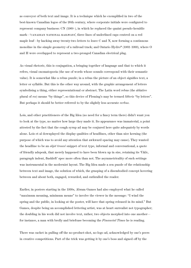as conveyor of both text and image. It is a technique which he exemplified in two of the best-known Canadian logos of the 20th century, where corporate initials were configured to represent company business: CN (1960–), in which he replaced the quaint pseudo-heraldic mark—'CANADIAN NATIONAL RAILWAYS', three lines of underlined caps centred on a red maple leaf—by hacking away twenty-two letters to leave C and N, now forming a continuous monoline in the simple geometry of a railroad track; and Ontario Hydro\* (1962–1999), where O and H were overlapped to represent a two-pronged Canadian electrical plug.

As visual rhetoric, this is conjugation, a bringing together of language and that to which it refers, visual onomatopoeia (the use of words whose sounds correspond with their semantic value). It is somewhat like a rebus puzzle; in a rebus the picture of an object signifies text, a letter or syllable. But this is the other way around, with the graphic arrangement of letters symbolising a thing, either representational or abstract. The Latin word rebus (the ablative plural of *res*) means "by things", so this device of Fleming's may be termed *litteris* "by letters". But perhaps it should be better referred to by the slightly less accurate *verbus*.

Lois, and other practitioners of the Big Idea (no need for a fancy term there) didn't want you to look at the type, no matter how large they made it. Its appearance was immaterial, a point attested by the fact that the cough syrup ad may be conjured here quite adequately by words alone. Lois et al downplayed the display qualities of headlines, other than nice kerning (the purpose of which was to avoid any attention that awkward spacing may cause). They wanted the headline to be an *objet trouvé* snippet of text type, informal and conversational, a quote of friendly adspeak, that merely happened to have been blown up in size, retaining its 'U&lc, paragraph indent, flushleft' spec more often than not. The asymmetricality of such settings was instrumental in the modernist layout. The Big Idea made a zen puzzle of the relationship between text and image, the solution of which, the grasping of a disembodied concept hovering between and about both, engaged, rewarded, and enthralled the reader.

Earlier, in posters starting in the 1930s, Abram Games had also employed what he called "maximum meaning, minimum means" to involve the viewer in the message: "I wind the spring and the public, in looking at the poster, will have that spring released in its mind." But Games, despite being an accomplished lettering artist, was at heart surrealist not typographer; the doubling in his work did not involve text, rather, two objects morphed into one another for instance, a man with brolly and briefcase becoming the *Financial Times* he is reading.

There was cachet in pulling off the no-product-shot, no-logo ad, acknowledged by one's peers in creative competitions. Part of the trick was getting it by one's boss and signed off by the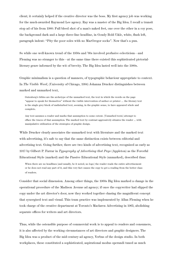client; it certainly helped if the creative director was the boss. My first agency job was working for the much-awarded Raymond Lee agency. Ray was a master of the Big Idea. I recall a transit stop ad of his from 1980: Full bleed shot of a man's naked feet, one over the other in a coy pose, the background dark and a large three-line headline, in Goudy Bold U&lc, white, flush left, paragraph indent: "Pity the poor soles with no MacGregor socks". Now that's a pun.

So while one well-known trend of the 1950s and '60s involved profusive eclecticism—and Fleming was no stranger to this—at the same time there existed this sophisticated pictorialliterary genre informed by the wit of brevity. The Big Idea lasted well into the 1980s.

Graphic minimalism is a question of manners, of typographic behaviour appropriate to context. In *The Visible Word*, (University of Chicago, 1994) Johanna Drucker distinguishes between marked and unmarked text,

Gutenberg's bibles are the archetype of the unmarked text, the text in which the words on the page "appear to speak for themselves" without the visible intervention of author or printer … the literary text is the single grey block of undisturbed text, seeming, in the graphic sense, to have appeared whole and complete.

Any text assumes a reader and marks that assumption to some extent. [Unmarked texts] attempt to efface the traces of that assumption. The marked text by contrast aggressively situates the reader ... with manipulative utilization of the strategies of graphic design.

While Drucker clearly associates the unmarked text with literature and the marked text with advertising, it's safe to say that the same distinction exists between editorial and advertising text. Going further, there are two kinds of advertising text, recognized as early as 1917 by Gilbert P. Farrar in *Typography of Advertising that Pays* (Appleton) as the Forceful Educational Style (marked) and the Passive Educational Style (unmarked), described thus:

When there are no headlines [and usually, be it noted, no logo] the reader reads the entire advertisement or he does not read any part of it, and this very fact causes the copy to get a reading from the better class of readers.

Consider that social dimension. Among other things, the 1960s Big Idea marked a change in the operational procedure of the Madison Avenue ad agency; if once the copywriter had slipped the copy under the art director's door, now they worked together chasing the magnificent concept that synergised text and visual. This team practice was implemented by Allan Fleming when he took charge of the creative department at Toronto's Maclaren Advertising in 1965, abolishing separate offices for writers and art directors.

Thus, while the ostensible purpose of commercial work is to appeal to readers and consumers, it is also affected by the working circumstances of art directors and graphic designers. The Big Idea was a product of the mid-century ad agency, Verbus of the design studio. In both workplaces, these constituted a sophisticated, aspirational modus operandi tuned as much